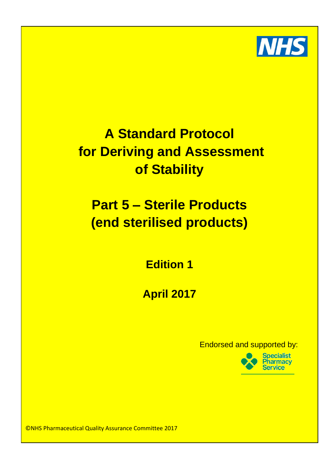

# **For Deriving and Assessment and the remit of the remit of the remit of the remit of the reminus of the reminus of the reminus of the reminus of the reminus of the remit of the reminus of the reminus of the reminus of the** Chief Pharmacist (or similar title e.g. Clinical Director of Pharmacy) as the person responsible for the safe use and custody of medicines within that organisation. **of Stability A Standard Protocol**

making a medical diagnosis or to restoring, corrections of medical diagnosis or modifying physiological physiological physiological corrections of medical corrections of the correction or model of the correction physiologi **functions in human beings of animals'. Therefore, and therefore, and therefore, and therefore, and therefore, and therefore, and therefore, and therefore, and the step**  $\mathbf{r}$ **radiopharmaceutical are medicines. (End sterilised products)**  $U$ sual practice for process would be for process would be for the Pharmacy Department of  $\mathcal{D}$ 

1. The medicines in this case are radioactive and need to be stored in controlled in controlled in controlled **Edition 1**

2. The products are often purchased for use the same day, and are regularly used for manufacture or dispatched before the Pharmacy department is open. **April 2017** 3. The ordering requires specialist knowledge of decay profiles of each isotope.

department itself should there no be a Radiopharmacy on site. It is important to important to remember that even when the ordering and receipt functions are carried out  $\mathsf{Endorsed}$  and supported by:



©NHS Pharmaceutical Quality Assurance Committee 2017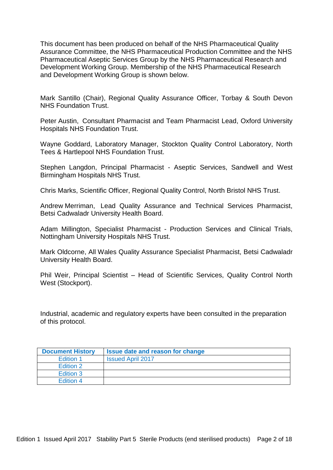This document has been produced on behalf of the NHS Pharmaceutical Quality Assurance Committee, the NHS Pharmaceutical Production Committee and the NHS Pharmaceutical Aseptic Services Group by the NHS Pharmaceutical Research and Development Working Group. Membership of the NHS Pharmaceutical Research and Development Working Group is shown below.

Mark Santillo (Chair), Regional Quality Assurance Officer, Torbay & South Devon NHS Foundation Trust.

Peter Austin, Consultant Pharmacist and Team Pharmacist Lead, Oxford University Hospitals NHS Foundation Trust.

Wayne Goddard, Laboratory Manager, Stockton Quality Control Laboratory, North Tees & Hartlepool NHS Foundation Trust.

Stephen Langdon, Principal Pharmacist - Aseptic Services, Sandwell and West Birmingham Hospitals NHS Trust.

Chris Marks, Scientific Officer, Regional Quality Control, North Bristol NHS Trust.

Andrew Merriman, Lead Quality Assurance and Technical Services Pharmacist, Betsi Cadwaladr University Health Board.

Adam Millington, Specialist Pharmacist - Production Services and Clinical Trials, Nottingham University Hospitals NHS Trust.

Mark Oldcorne, All Wales Quality Assurance Specialist Pharmacist, Betsi Cadwaladr University Health Board.

Phil Weir, Principal Scientist – Head of Scientific Services, Quality Control North West (Stockport).

Industrial, academic and regulatory experts have been consulted in the preparation of this protocol.

| <b>Document History</b> | Issue date and reason for change |
|-------------------------|----------------------------------|
| Edition 1               | <b>Issued April 2017</b>         |
| Edition 2               |                                  |
| Edition 3               |                                  |
| <b>Edition 4</b>        |                                  |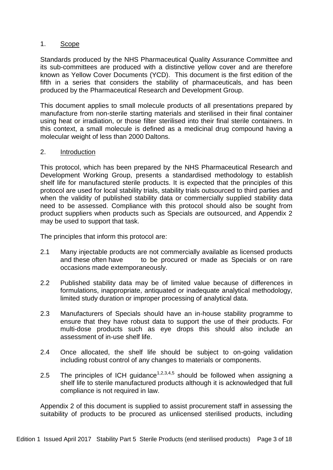# 1. Scope

Standards produced by the NHS Pharmaceutical Quality Assurance Committee and its sub-committees are produced with a distinctive yellow cover and are therefore known as Yellow Cover Documents (YCD). This document is the first edition of the fifth in a series that considers the stability of pharmaceuticals, and has been produced by the Pharmaceutical Research and Development Group.

This document applies to small molecule products of all presentations prepared by manufacture from non-sterile starting materials and sterilised in their final container using heat or irradiation, or those filter sterilised into their final sterile containers. In this context, a small molecule is defined as a medicinal drug compound having a molecular weight of less than 2000 Daltons.

## 2. Introduction

This protocol, which has been prepared by the NHS Pharmaceutical Research and Development Working Group, presents a standardised methodology to establish shelf life for manufactured sterile products. It is expected that the principles of this protocol are used for local stability trials, stability trials outsourced to third parties and when the validity of published stability data or commercially supplied stability data need to be assessed. Compliance with this protocol should also be sought from product suppliers when products such as Specials are outsourced, and Appendix 2 may be used to support that task.

The principles that inform this protocol are:

- 2.1 Many injectable products are not commercially available as licensed products and these often have to be procured or made as Specials or on rare occasions made extemporaneously.
- 2.2 Published stability data may be of limited value because of differences in formulations, inappropriate, antiquated or inadequate analytical methodology, limited study duration or improper processing of analytical data.
- 2.3 Manufacturers of Specials should have an in-house stability programme to ensure that they have robust data to support the use of their products. For multi-dose products such as eye drops this should also include an assessment of in-use shelf life.
- 2.4 Once allocated, the shelf life should be subject to on-going validation including robust control of any changes to materials or components.
- 2.5 The principles of ICH guidance<sup>1,2,3,4,5</sup> should be followed when assigning a shelf life to sterile manufactured products although it is acknowledged that full compliance is not required in law.

Appendix 2 of this document is supplied to assist procurement staff in assessing the suitability of products to be procured as unlicensed sterilised products, including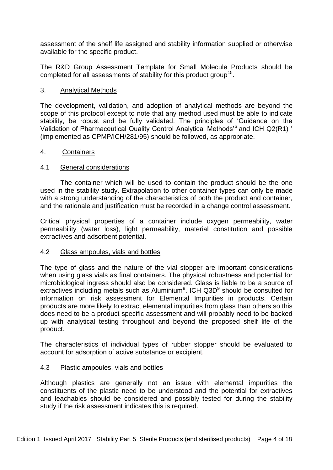assessment of the shelf life assigned and stability information supplied or otherwise available for the specific product.

The R&D Group Assessment Template for Small Molecule Products should be completed for all assessments of stability for this product group<sup>15</sup>.

## 3. Analytical Methods

The development, validation, and adoption of analytical methods are beyond the scope of this protocol except to note that any method used must be able to indicate stability, be robust and be fully validated. The principles of 'Guidance on the Validation of Pharmaceutical Quality Control Analytical Methods<sup>6</sup> and ICH Q2(R1)<sup>7</sup> (implemented as CPMP/ICH/281/95) should be followed, as appropriate.

## 4. Containers

## 4.1 General considerations

The container which will be used to contain the product should be the one used in the stability study. Extrapolation to other container types can only be made with a strong understanding of the characteristics of both the product and container, and the rationale and justification must be recorded in a change control assessment.

Critical physical properties of a container include oxygen permeability, water permeability (water loss), light permeability, material constitution and possible extractives and adsorbent potential.

### 4.2 Glass ampoules, vials and bottles

The type of glass and the nature of the vial stopper are important considerations when using glass vials as final containers. The physical robustness and potential for microbiological ingress should also be considered. Glass is liable to be a source of extractives including metals such as Aluminium $8$ . ICH Q3D $9$  should be consulted for information on risk assessment for Elemental Impurities in products. Certain products are more likely to extract elemental impurities from glass than others so this does need to be a product specific assessment and will probably need to be backed up with analytical testing throughout and beyond the proposed shelf life of the product.

The characteristics of individual types of rubber stopper should be evaluated to account for adsorption of active substance or excipient*.*

### 4.3 Plastic ampoules, vials and bottles

Although plastics are generally not an issue with elemental impurities the constituents of the plastic need to be understood and the potential for extractives and leachables should be considered and possibly tested for during the stability study if the risk assessment indicates this is required.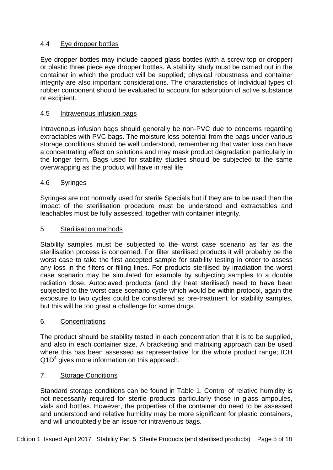# 4.4 Eye dropper bottles

Eye dropper bottles may include capped glass bottles (with a screw top or dropper) or plastic three piece eye dropper bottles. A stability study must be carried out in the container in which the product will be supplied; physical robustness and container integrity are also important considerations. The characteristics of individual types of rubber component should be evaluated to account for adsorption of active substance or excipient.

# 4.5 Intravenous infusion bags

Intravenous infusion bags should generally be non-PVC due to concerns regarding extractables with PVC bags. The moisture loss potential from the bags under various storage conditions should be well understood, remembering that water loss can have a concentrating effect on solutions and may mask product degradation particularly in the longer term. Bags used for stability studies should be subjected to the same overwrapping as the product will have in real life.

# 4.6 Syringes

Syringes are not normally used for sterile Specials but if they are to be used then the impact of the sterilisation procedure must be understood and extractables and leachables must be fully assessed, together with container integrity.

## 5 Sterilisation methods

Stability samples must be subjected to the worst case scenario as far as the sterilisation process is concerned. For filter sterilised products it will probably be the worst case to take the first accepted sample for stability testing in order to assess any loss in the filters or filling lines. For products sterilised by irradiation the worst case scenario may be simulated for example by subjecting samples to a double radiation dose. Autoclaved products (and dry heat sterilised) need to have been subjected to the worst case scenario cycle which would be within protocol, again the exposure to two cycles could be considered as pre-treatment for stability samples, but this will be too great a challenge for some drugs.

### 6. Concentrations

The product should be stability tested in each concentration that it is to be supplied, and also in each container size. A bracketing and matrixing approach can be used where this has been assessed as representative for the whole product range; ICH  $Q1D<sup>4</sup>$  gives more information on this approach.

# 7. Storage Conditions

Standard storage conditions can be found in Table 1. Control of relative humidity is not necessarily required for sterile products particularly those in glass ampoules, vials and bottles. However, the properties of the container do need to be assessed and understood and relative humidity may be more significant for plastic containers, and will undoubtedly be an issue for intravenous bags.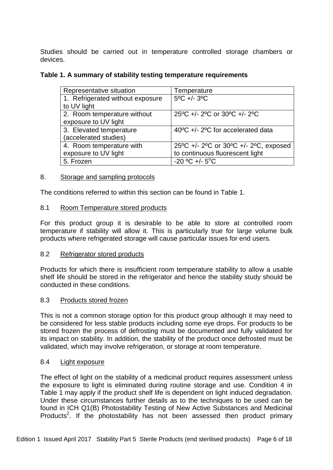Studies should be carried out in temperature controlled storage chambers or devices.

## **Table 1. A summary of stability testing temperature requirements**

| Representative situation         | Temperature                           |
|----------------------------------|---------------------------------------|
| 1. Refrigerated without exposure | $5^{\circ}$ C +/- $3^{\circ}$ C       |
| to UV light                      |                                       |
| 2. Room temperature without      | 25°C +/- 2°C or 30°C +/- 2°C          |
| exposure to UV light             |                                       |
| 3. Elevated temperature          | 40°C +/- 2°C for accelerated data     |
| (accelerated studies)            |                                       |
| 4. Room temperature with         | 25°C +/- 2°C or 30°C +/- 2°C, exposed |
| exposure to UV light             | to continuous fluorescent light       |
| 5. Frozen                        | $-20$ °C +/- 5°C                      |

### 8. Storage and sampling protocols

The conditions referred to within this section can be found in Table 1.

## 8.1 Room Temperature stored products

For this product group it is desirable to be able to store at controlled room temperature if stability will allow it. This is particularly true for large volume bulk products where refrigerated storage will cause particular issues for end users.

### 8.2 Refrigerator stored products

Products for which there is insufficient room temperature stability to allow a usable shelf life should be stored in the refrigerator and hence the stability study should be conducted in these conditions.

### 8.3 Products stored frozen

This is not a common storage option for this product group although it may need to be considered for less stable products including some eye drops. For products to be stored frozen the process of defrosting must be documented and fully validated for its impact on stability. In addition, the stability of the product once defrosted must be validated, which may involve refrigeration, or storage at room temperature.

### 8.4 Light exposure

The effect of light on the stability of a medicinal product requires assessment unless the exposure to light is eliminated during routine storage and use. Condition 4 in Table 1 may apply if the product shelf life is dependent on light induced degradation. Under these circumstances further details as to the techniques to be used can be found in ICH Q1(B) Photostability Testing of New Active Substances and Medicinal Products<sup>2</sup>. If the photostability has not been assessed then product primary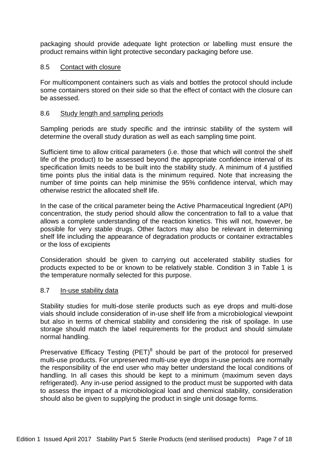packaging should provide adequate light protection or labelling must ensure the product remains within light protective secondary packaging before use.

## 8.5 Contact with closure

For multicomponent containers such as vials and bottles the protocol should include some containers stored on their side so that the effect of contact with the closure can be assessed.

## 8.6 Study length and sampling periods

Sampling periods are study specific and the intrinsic stability of the system will determine the overall study duration as well as each sampling time point.

Sufficient time to allow critical parameters (i.e. those that which will control the shelf life of the product) to be assessed beyond the appropriate confidence interval of its specification limits needs to be built into the stability study. A minimum of 4 justified time points plus the initial data is the minimum required. Note that increasing the number of time points can help minimise the 95% confidence interval, which may otherwise restrict the allocated shelf life.

In the case of the critical parameter being the Active Pharmaceutical Ingredient (API) concentration, the study period should allow the concentration to fall to a value that allows a complete understanding of the reaction kinetics. This will not, however, be possible for very stable drugs. Other factors may also be relevant in determining shelf life including the appearance of degradation products or container extractables or the loss of excipients

Consideration should be given to carrying out accelerated stability studies for products expected to be or known to be relatively stable. Condition 3 in Table 1 is the temperature normally selected for this purpose.

### 8.7 In-use stability data

Stability studies for multi-dose sterile products such as eye drops and multi-dose vials should include consideration of in-use shelf life from a microbiological viewpoint but also in terms of chemical stability and considering the risk of spoilage. In use storage should match the label requirements for the product and should simulate normal handling.

Preservative Efficacy Testing (PET) $<sup>8</sup>$  should be part of the protocol for preserved</sup> multi-use products. For unpreserved multi-use eye drops in-use periods are normally the responsibility of the end user who may better understand the local conditions of handling. In all cases this should be kept to a minimum (maximum seven days refrigerated). Any in-use period assigned to the product must be supported with data to assess the impact of a microbiological load and chemical stability, consideration should also be given to supplying the product in single unit dosage forms.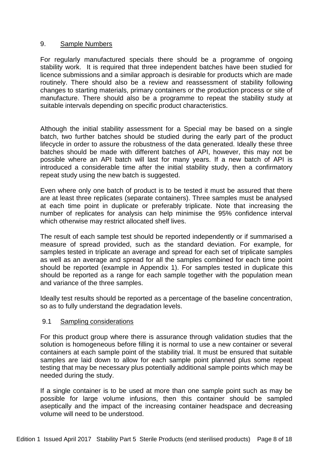# 9. Sample Numbers

For regularly manufactured specials there should be a programme of ongoing stability work. It is required that three independent batches have been studied for licence submissions and a similar approach is desirable for products which are made routinely. There should also be a review and reassessment of stability following changes to starting materials, primary containers or the production process or site of manufacture. There should also be a programme to repeat the stability study at suitable intervals depending on specific product characteristics.

Although the initial stability assessment for a Special may be based on a single batch, two further batches should be studied during the early part of the product lifecycle in order to assure the robustness of the data generated. Ideally these three batches should be made with different batches of API, however, this may not be possible where an API batch will last for many years. If a new batch of API is introduced a considerable time after the initial stability study, then a confirmatory repeat study using the new batch is suggested.

Even where only one batch of product is to be tested it must be assured that there are at least three replicates (separate containers). Three samples must be analysed at each time point in duplicate or preferably triplicate. Note that increasing the number of replicates for analysis can help minimise the 95% confidence interval which otherwise may restrict allocated shelf lives.

The result of each sample test should be reported independently or if summarised a measure of spread provided, such as the standard deviation. For example, for samples tested in triplicate an average and spread for each set of triplicate samples as well as an average and spread for all the samples combined for each time point should be reported (example in Appendix 1). For samples tested in duplicate this should be reported as a range for each sample together with the population mean and variance of the three samples.

Ideally test results should be reported as a percentage of the baseline concentration, so as to fully understand the degradation levels.

### 9.1 Sampling considerations

For this product group where there is assurance through validation studies that the solution is homogeneous before filling it is normal to use a new container or several containers at each sample point of the stability trial. It must be ensured that suitable samples are laid down to allow for each sample point planned plus some repeat testing that may be necessary plus potentially additional sample points which may be needed during the study.

If a single container is to be used at more than one sample point such as may be possible for large volume infusions, then this container should be sampled aseptically and the impact of the increasing container headspace and decreasing volume will need to be understood.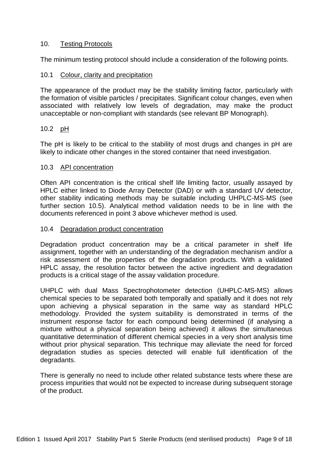## 10. Testing Protocols

The minimum testing protocol should include a consideration of the following points.

## 10.1 Colour, clarity and precipitation

The appearance of the product may be the stability limiting factor, particularly with the formation of visible particles / precipitates. Significant colour changes, even when associated with relatively low levels of degradation, may make the product unacceptable or non-compliant with standards (see relevant BP Monograph).

## 10.2 pH

The pH is likely to be critical to the stability of most drugs and changes in pH are likely to indicate other changes in the stored container that need investigation.

### 10.3 API concentration

Often API concentration is the critical shelf life limiting factor, usually assayed by HPLC either linked to Diode Array Detector (DAD) or with a standard UV detector, other stability indicating methods may be suitable including UHPLC-MS-MS (see further section 10.5). Analytical method validation needs to be in line with the documents referenced in point 3 above whichever method is used.

### 10.4 Degradation product concentration

Degradation product concentration may be a critical parameter in shelf life assignment, together with an understanding of the degradation mechanism and/or a risk assessment of the properties of the degradation products. With a validated HPLC assay, the resolution factor between the active ingredient and degradation products is a critical stage of the assay validation procedure.

UHPLC with dual Mass Spectrophotometer detection (UHPLC-MS-MS) allows chemical species to be separated both temporally and spatially and it does not rely upon achieving a physical separation in the same way as standard HPLC methodology. Provided the system suitability is demonstrated in terms of the instrument response factor for each compound being determined (if analysing a mixture without a physical separation being achieved) it allows the simultaneous quantitative determination of different chemical species in a very short analysis time without prior physical separation. This technique may alleviate the need for forced degradation studies as species detected will enable full identification of the degradants.

There is generally no need to include other related substance tests where these are process impurities that would not be expected to increase during subsequent storage of the product.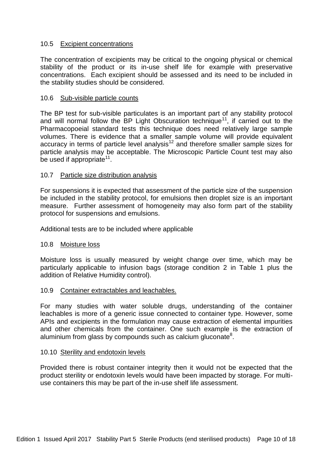## 10.5 Excipient concentrations

The concentration of excipients may be critical to the ongoing physical or chemical stability of the product or its in-use shelf life for example with preservative concentrations. Each excipient should be assessed and its need to be included in the stability studies should be considered.

## 10.6 Sub-visible particle counts

The BP test for sub-visible particulates is an important part of any stability protocol and will normal follow the BP Light Obscuration technique<sup>11</sup>, if carried out to the Pharmacopoeial standard tests this technique does need relatively large sample volumes. There is evidence that a smaller sample volume will provide equivalent accuracy in terms of particle level analysis<sup>12</sup> and therefore smaller sample sizes for particle analysis may be acceptable. The Microscopic Particle Count test may also be used if appropriate<sup>11</sup>.

## 10.7 Particle size distribution analysis

For suspensions it is expected that assessment of the particle size of the suspension be included in the stability protocol, for emulsions then droplet size is an important measure.Further assessment of homogeneity may also form part of the stability protocol for suspensions and emulsions.

Additional tests are to be included where applicable

### 10.8 Moisture loss

Moisture loss is usually measured by weight change over time, which may be particularly applicable to infusion bags (storage condition 2 in Table 1 plus the addition of Relative Humidity control).

### 10.9 Container extractables and leachables.

For many studies with water soluble drugs, understanding of the container leachables is more of a generic issue connected to container type. However, some APIs and excipients in the formulation may cause extraction of elemental impurities and other chemicals from the container. One such example is the extraction of aluminium from glass by compounds such as calcium gluconate<sup>8</sup>.

### 10.10 Sterility and endotoxin levels

Provided there is robust container integrity then it would not be expected that the product sterility or endotoxin levels would have been impacted by storage. For multiuse containers this may be part of the in-use shelf life assessment.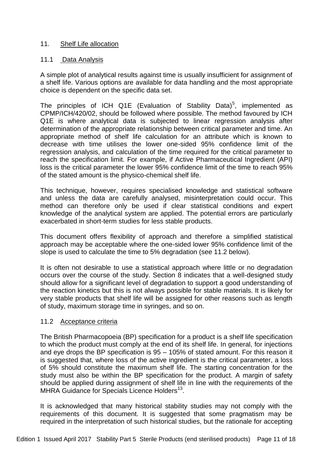# 11. Shelf Life allocation

# 11.1 Data Analysis

A simple plot of analytical results against time is usually insufficient for assignment of a shelf life. Various options are available for data handling and the most appropriate choice is dependent on the specific data set.

The principles of ICH Q1E (Evaluation of Stability Data)<sup>5</sup>, implemented as CPMP/ICH/420/02, should be followed where possible. The method favoured by ICH Q1E is where analytical data is subjected to linear regression analysis after determination of the appropriate relationship between critical parameter and time. An appropriate method of shelf life calculation for an attribute which is known to decrease with time utilises the lower one-sided 95% confidence limit of the regression analysis, and calculation of the time required for the critical parameter to reach the specification limit. For example, if Active Pharmaceutical Ingredient (API) loss is the critical parameter the lower 95% confidence limit of the time to reach 95% of the stated amount is the physico-chemical shelf life.

This technique, however, requires specialised knowledge and statistical software and unless the data are carefully analysed, misinterpretation could occur. This method can therefore only be used if clear statistical conditions and expert knowledge of the analytical system are applied. The potential errors are particularly exacerbated in short-term studies for less stable products.

This document offers flexibility of approach and therefore a simplified statistical approach may be acceptable where the one-sided lower 95% confidence limit of the slope is used to calculate the time to 5% degradation (see 11.2 below).

It is often not desirable to use a statistical approach where little or no degradation occurs over the course of the study. Section 8 indicates that a well-designed study should allow for a significant level of degradation to support a good understanding of the reaction kinetics but this is not always possible for stable materials. It is likely for very stable products that shelf life will be assigned for other reasons such as length of study, maximum storage time in syringes, and so on.

# 11.2 Acceptance criteria

The British Pharmacopoeia (BP) specification for a product is a shelf life specification to which the product must comply at the end of its shelf life. In general, for injections and eye drops the BP specification is 95 – 105% of stated amount. For this reason it is suggested that, where loss of the active ingredient is the critical parameter, a loss of 5% should constitute the maximum shelf life. The starting concentration for the study must also be within the BP specification for the product. A margin of safety should be applied during assignment of shelf life in line with the requirements of the MHRA Guidance for Specials Licence Holders<sup>13</sup>.

It is acknowledged that many historical stability studies may not comply with the requirements of this document. It is suggested that some pragmatism may be required in the interpretation of such historical studies, but the rationale for accepting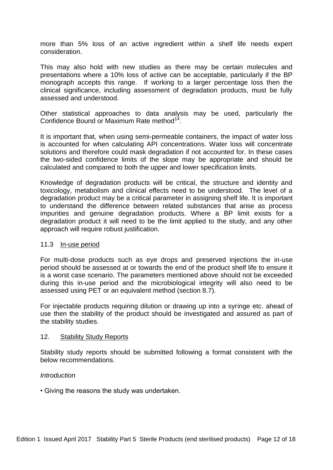more than 5% loss of an active ingredient within a shelf life needs expert consideration.

This may also hold with new studies as there may be certain molecules and presentations where a 10% loss of active can be acceptable, particularly if the BP monograph accepts this range. If working to a larger percentage loss then the clinical significance, including assessment of degradation products, must be fully assessed and understood.

Other statistical approaches to data analysis may be used, particularly the Confidence Bound or Maximum Rate method<sup>14</sup>.

It is important that, when using semi-permeable containers, the impact of water loss is accounted for when calculating API concentrations. Water loss will concentrate solutions and therefore could mask degradation if not accounted for. In these cases the two-sided confidence limits of the slope may be appropriate and should be calculated and compared to both the upper and lower specification limits.

Knowledge of degradation products will be critical, the structure and identity and toxicology, metabolism and clinical effects need to be understood. The level of a degradation product may be a critical parameter in assigning shelf life. It is important to understand the difference between related substances that arise as process impurities and genuine degradation products. Where a BP limit exists for a degradation product it will need to be the limit applied to the study, and any other approach will require robust justification.

### 11.3 In-use period

For multi-dose products such as eye drops and preserved injections the in-use period should be assessed at or towards the end of the product shelf life to ensure it is a worst case scenario. The parameters mentioned above should not be exceeded during this in-use period and the microbiological integrity will also need to be assessed using PET or an equivalent method (section 8.7).

For injectable products requiring dilution or drawing up into a syringe etc. ahead of use then the stability of the product should be investigated and assured as part of the stability studies.

### 12. Stability Study Reports

Stability study reports should be submitted following a format consistent with the below recommendations.

# *Introduction*

• Giving the reasons the study was undertaken.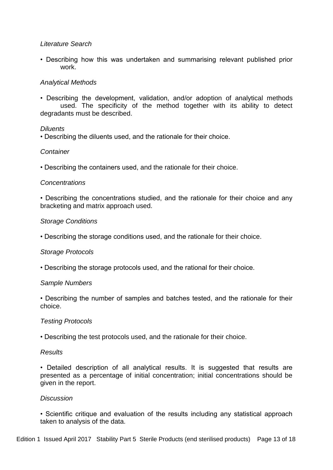# *Literature Search*

• Describing how this was undertaken and summarising relevant published prior work.

## *Analytical Methods*

• Describing the development, validation, and/or adoption of analytical methods used. The specificity of the method together with its ability to detect degradants must be described.

### *Diluents*

• Describing the diluents used, and the rationale for their choice.

## *Container*

• Describing the containers used, and the rationale for their choice.

## *Concentrations*

• Describing the concentrations studied, and the rationale for their choice and any bracketing and matrix approach used.

### *Storage Conditions*

• Describing the storage conditions used, and the rationale for their choice.

### *Storage Protocols*

• Describing the storage protocols used, and the rational for their choice.

### *Sample Numbers*

• Describing the number of samples and batches tested, and the rationale for their choice.

### *Testing Protocols*

• Describing the test protocols used, and the rationale for their choice.

### *Results*

• Detailed description of all analytical results. It is suggested that results are presented as a percentage of initial concentration; initial concentrations should be given in the report.

### *Discussion*

• Scientific critique and evaluation of the results including any statistical approach taken to analysis of the data.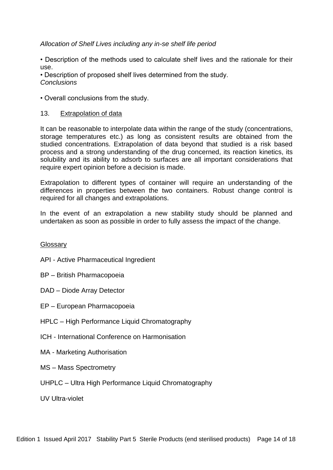# *Allocation of Shelf Lives including any in-se shelf life period*

• Description of the methods used to calculate shelf lives and the rationale for their use.

• Description of proposed shelf lives determined from the study. *Conclusions* 

• Overall conclusions from the study.

## 13. Extrapolation of data

It can be reasonable to interpolate data within the range of the study (concentrations, storage temperatures etc.) as long as consistent results are obtained from the studied concentrations. Extrapolation of data beyond that studied is a risk based process and a strong understanding of the drug concerned, its reaction kinetics, its solubility and its ability to adsorb to surfaces are all important considerations that require expert opinion before a decision is made.

Extrapolation to different types of container will require an understanding of the differences in properties between the two containers. Robust change control is required for all changes and extrapolations.

In the event of an extrapolation a new stability study should be planned and undertaken as soon as possible in order to fully assess the impact of the change.

### **Glossary**

API - Active Pharmaceutical Ingredient

- BP British Pharmacopoeia
- DAD Diode Array Detector
- EP European Pharmacopoeia
- HPLC High Performance Liquid Chromatography
- ICH International Conference on Harmonisation
- MA Marketing Authorisation
- MS Mass Spectrometry
- UHPLC Ultra High Performance Liquid Chromatography

UV Ultra-violet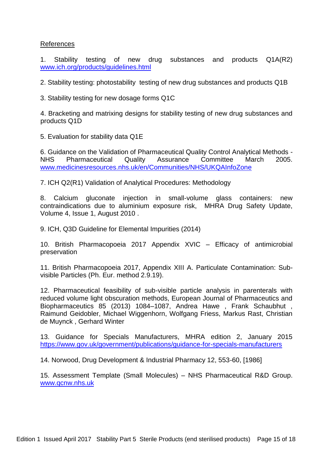## References

1. Stability testing of new drug substances and products Q1A(R2) [www.ich.org/products/guidelines.html](http://www.ich.org/products/guidelines.html)

2. Stability testing: photostability testing of new drug substances and products Q1B

3. Stability testing for new dosage forms Q1C

4. Bracketing and matrixing designs for stability testing of new drug substances and products Q1D

5. Evaluation for stability data Q1E

6. Guidance on the Validation of Pharmaceutical Quality Control Analytical Methods - NHS Pharmaceutical Quality Assurance Committee March 2005. [www.medicinesresources.nhs.uk/en/Communities/NHS/UKQAInfoZone](http://www.medicinesresources.nhs.uk/en/Communities/NHS/UKQAInfoZone)

7. ICH Q2(R1) Validation of Analytical Procedures: Methodology

8. Calcium gluconate injection in small-volume glass containers: new contraindications due to aluminium exposure risk, MHRA Drug Safety Update, Volume 4, Issue 1, August 2010 .

9. ICH, Q3D Guideline for Elemental Impurities (2014)

10. British Pharmacopoeia 2017 Appendix XVIC – Efficacy of antimicrobial preservation

11. British Pharmacopoeia 2017, Appendix XIII A. Particulate Contamination: Subvisible Particles (Ph. Eur. method 2.9.19).

12. Pharmaceutical feasibility of sub-visible particle analysis in parenterals with reduced volume light obscuration methods, European Journal of Pharmaceutics and Biopharmaceutics 85 (2013) 1084–1087, Andrea Hawe , Frank Schaubhut , Raimund Geidobler, Michael Wiggenhorn, Wolfgang Friess, Markus Rast, Christian de Muynck , Gerhard Winter

13. Guidance for Specials Manufacturers, MHRA edition 2, January 2015 <https://www.gov.uk/government/publications/guidance-for-specials-manufacturers>

14. Norwood, Drug Development & Industrial Pharmacy 12, 553-60, [1986]

15. Assessment Template (Small Molecules) – NHS Pharmaceutical R&D Group. [www.qcnw.nhs.uk](http://www.qcnw.nhs.uk/)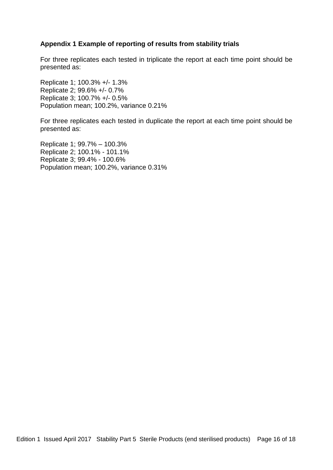# **Appendix 1 Example of reporting of results from stability trials**

For three replicates each tested in triplicate the report at each time point should be presented as:

Replicate 1; 100.3% +/- 1.3% Replicate 2; 99.6% +/- 0.7% Replicate 3; 100.7% +/- 0.5% Population mean; 100.2%, variance 0.21%

For three replicates each tested in duplicate the report at each time point should be presented as:

Replicate 1; 99.7% – 100.3% Replicate 2; 100.1% - 101.1% Replicate 3; 99.4% - 100.6% Population mean; 100.2%, variance 0.31%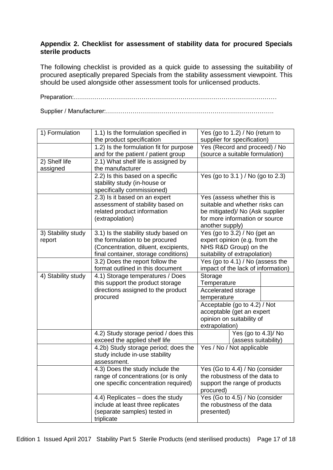# **Appendix 2. Checklist for assessment of stability data for procured Specials sterile products**

The following checklist is provided as a quick guide to assessing the suitability of procured aseptically prepared Specials from the stability assessment viewpoint. This should be used alongside other assessment tools for unlicensed products.

Preparation:………………………………………………………………………………………

Supplier / Manufacturer:……………………………………………………………………….

| 1) Formulation     | 1.1) Is the formulation specified in<br>the product specification | Yes (go to 1.2) / No (return to<br>supplier for specification) |
|--------------------|-------------------------------------------------------------------|----------------------------------------------------------------|
|                    | 1.2) Is the formulation fit for purpose                           | Yes (Record and proceed) / No                                  |
|                    | and for the patient / patient group                               | (source a suitable formulation)                                |
| 2) Shelf life      | 2.1) What shelf life is assigned by                               |                                                                |
| assigned           | the manufacturer                                                  |                                                                |
|                    | 2.2) Is this based on a specific                                  | Yes (go to 3.1) / No (go to 2.3)                               |
|                    | stability study (in-house or                                      |                                                                |
|                    | specifically commissioned)                                        |                                                                |
|                    | 2.3) Is it based on an expert                                     | Yes (assess whether this is                                    |
|                    | assessment of stability based on                                  | suitable and whether risks can                                 |
|                    | related product information                                       | be mitigated)/ No (Ask supplier                                |
|                    | (extrapolation)                                                   | for more information or source<br>another supply)              |
| 3) Stability study | 3.1) Is the stability study based on                              | Yes (go to 3.2) / No (get an                                   |
| report             | the formulation to be procured                                    | expert opinion (e.g. from the                                  |
|                    | (Concentration, diluent, excipients,                              | NHS R&D Group) on the                                          |
|                    | final container, storage conditions)                              | suitability of extrapolation)                                  |
|                    | 3.2) Does the report follow the                                   | Yes (go to 4.1) / No (assess the                               |
|                    | format outlined in this document                                  | impact of the lack of information)                             |
| 4) Stability study | 4.1) Storage temperatures / Does                                  | Storage                                                        |
|                    | this support the product storage                                  | Temperature                                                    |
|                    | directions assigned to the product                                | Accelerated storage                                            |
|                    | procured                                                          | temperature                                                    |
|                    |                                                                   | Acceptable (go to 4.2) / Not                                   |
|                    |                                                                   | acceptable (get an expert                                      |
|                    |                                                                   | opinion on suitability of<br>extrapolation)                    |
|                    | 4.2) Study storage period / does this                             | Yes (go to 4.3)/No                                             |
|                    | exceed the applied shelf life                                     | (assess suitability)                                           |
|                    | 4.2b) Study storage period; does the                              | Yes / No / Not applicable                                      |
|                    | study include in-use stability                                    |                                                                |
|                    | assessment.                                                       |                                                                |
|                    | 4.3) Does the study include the                                   | Yes (Go to 4.4) / No (consider                                 |
|                    | range of concentrations (or is only                               | the robustness of the data to                                  |
|                    | one specific concentration required)                              | support the range of products                                  |
|                    |                                                                   | procured)                                                      |
|                    | 4.4) Replicates – does the study                                  | Yes (Go to 4.5) / No (consider                                 |
|                    | include at least three replicates                                 | the robustness of the data                                     |
|                    | (separate samples) tested in<br>triplicate                        | presented)                                                     |